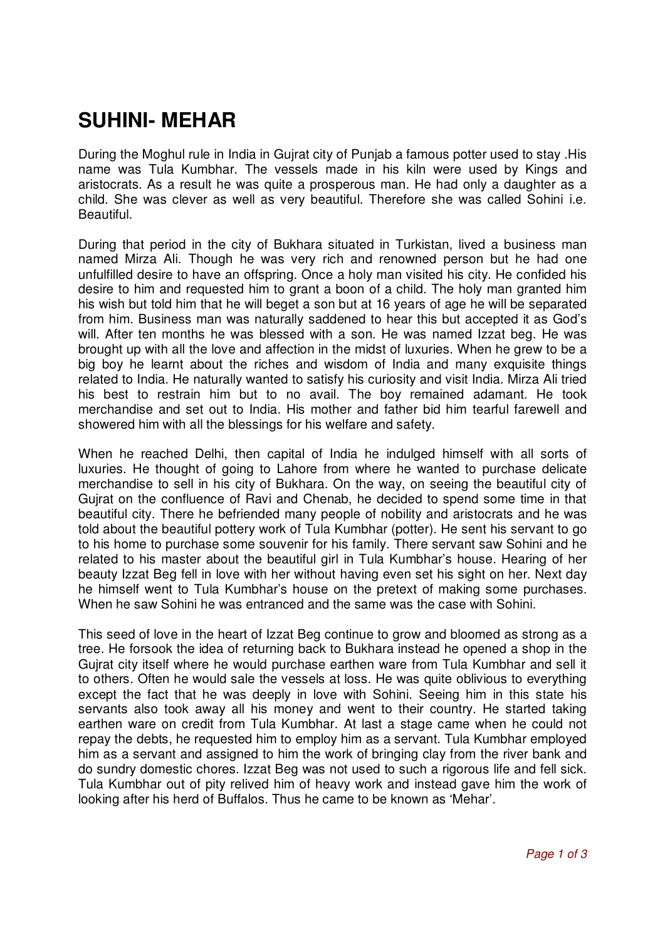## **SUHINI- MEHAR**

During the Moghul rule in India in Gujrat city of Punjab a famous potter used to stay .His name was Tula Kumbhar. The vessels made in his kiln were used by Kings and aristocrats. As a result he was quite a prosperous man. He had only a daughter as a child. She was clever as well as very beautiful. Therefore she was called Sohini i.e. Beautiful.

During that period in the city of Bukhara situated in Turkistan, lived a business man named Mirza Ali. Though he was very rich and renowned person but he had one unfulfilled desire to have an offspring. Once a holy man visited his city. He confided his desire to him and requested him to grant a boon of a child. The holy man granted him his wish but told him that he will beget a son but at 16 years of age he will be separated from him. Business man was naturally saddened to hear this but accepted it as God's will. After ten months he was blessed with a son. He was named Izzat beg. He was brought up with all the love and affection in the midst of luxuries. When he grew to be a big boy he learnt about the riches and wisdom of India and many exquisite things related to India. He naturally wanted to satisfy his curiosity and visit India. Mirza Ali tried his best to restrain him but to no avail. The boy remained adamant. He took merchandise and set out to India. His mother and father bid him tearful farewell and showered him with all the blessings for his welfare and safety.

When he reached Delhi, then capital of India he indulged himself with all sorts of luxuries. He thought of going to Lahore from where he wanted to purchase delicate merchandise to sell in his city of Bukhara. On the way, on seeing the beautiful city of Gujrat on the confluence of Ravi and Chenab, he decided to spend some time in that beautiful city. There he befriended many people of nobility and aristocrats and he was told about the beautiful pottery work of Tula Kumbhar (potter). He sent his servant to go to his home to purchase some souvenir for his family. There servant saw Sohini and he related to his master about the beautiful girl in Tula Kumbhar's house. Hearing of her beauty Izzat Beg fell in love with her without having even set his sight on her. Next day he himself went to Tula Kumbhar's house on the pretext of making some purchases. When he saw Sohini he was entranced and the same was the case with Sohini.

This seed of love in the heart of Izzat Beg continue to grow and bloomed as strong as a tree. He forsook the idea of returning back to Bukhara instead he opened a shop in the Gujrat city itself where he would purchase earthen ware from Tula Kumbhar and sell it to others. Often he would sale the vessels at loss. He was quite oblivious to everything except the fact that he was deeply in love with Sohini. Seeing him in this state his servants also took away all his money and went to their country. He started taking earthen ware on credit from Tula Kumbhar. At last a stage came when he could not repay the debts, he requested him to employ him as a servant. Tula Kumbhar employed him as a servant and assigned to him the work of bringing clay from the river bank and do sundry domestic chores. Izzat Beg was not used to such a rigorous life and fell sick. Tula Kumbhar out of pity relived him of heavy work and instead gave him the work of looking after his herd of Buffalos. Thus he came to be known as 'Mehar'.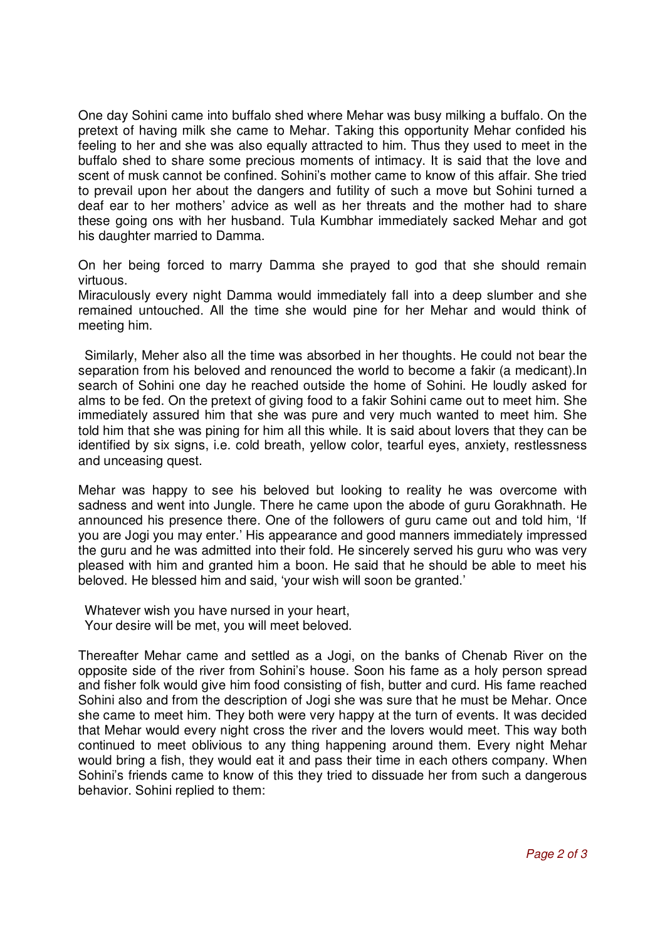One day Sohini came into buffalo shed where Mehar was busy milking a buffalo. On the pretext of having milk she came to Mehar. Taking this opportunity Mehar confided his feeling to her and she was also equally attracted to him. Thus they used to meet in the buffalo shed to share some precious moments of intimacy. It is said that the love and scent of musk cannot be confined. Sohini's mother came to know of this affair. She tried to prevail upon her about the dangers and futility of such a move but Sohini turned a deaf ear to her mothers' advice as well as her threats and the mother had to share these going ons with her husband. Tula Kumbhar immediately sacked Mehar and got his daughter married to Damma.

On her being forced to marry Damma she prayed to god that she should remain virtuous.

Miraculously every night Damma would immediately fall into a deep slumber and she remained untouched. All the time she would pine for her Mehar and would think of meeting him.

Similarly, Meher also all the time was absorbed in her thoughts. He could not bear the separation from his beloved and renounced the world to become a fakir (a medicant).In search of Sohini one day he reached outside the home of Sohini. He loudly asked for alms to be fed. On the pretext of giving food to a fakir Sohini came out to meet him. She immediately assured him that she was pure and very much wanted to meet him. She told him that she was pining for him all this while. It is said about lovers that they can be identified by six signs, i.e. cold breath, yellow color, tearful eyes, anxiety, restlessness and unceasing quest.

Mehar was happy to see his beloved but looking to reality he was overcome with sadness and went into Jungle. There he came upon the abode of guru Gorakhnath. He announced his presence there. One of the followers of guru came out and told him, 'If you are Jogi you may enter.' His appearance and good manners immediately impressed the guru and he was admitted into their fold. He sincerely served his guru who was very pleased with him and granted him a boon. He said that he should be able to meet his beloved. He blessed him and said, 'your wish will soon be granted.'

Whatever wish you have nursed in your heart, Your desire will be met, you will meet beloved.

Thereafter Mehar came and settled as a Jogi, on the banks of Chenab River on the opposite side of the river from Sohini's house. Soon his fame as a holy person spread and fisher folk would give him food consisting of fish, butter and curd. His fame reached Sohini also and from the description of Jogi she was sure that he must be Mehar. Once she came to meet him. They both were very happy at the turn of events. It was decided that Mehar would every night cross the river and the lovers would meet. This way both continued to meet oblivious to any thing happening around them. Every night Mehar would bring a fish, they would eat it and pass their time in each others company. When Sohini's friends came to know of this they tried to dissuade her from such a dangerous behavior. Sohini replied to them: